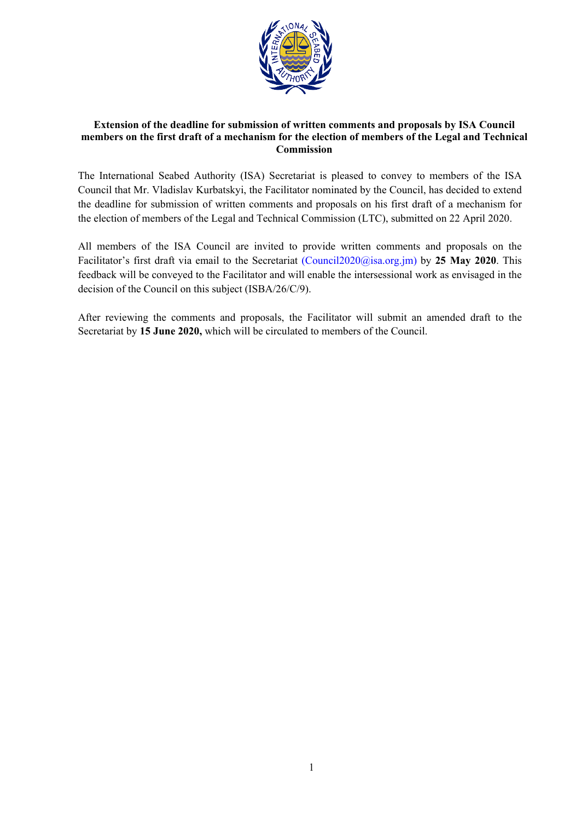

## **Extension of the deadline for submission of written comments and proposals by ISA Council members on the first draft of a mechanism for the election of members of the Legal and Technical Commission**

The International Seabed Authority (ISA) Secretariat is pleased to convey to members of the ISA Council that Mr. Vladislav Kurbatskyi, the Facilitator nominated by the Council, has decided to extend the deadline for submission of written comments and proposals on his first draft of a mechanism for the election of members of the Legal and Technical [Commission \(LTC\), submitted o](mailto:Council2020@isa.org.jm)n 22 April 2020.

All members of the ISA Council are invited to provide written comments and proposals on the Facilitator's first draft via email to the Secretariat (Council2020@isa.org.jm) by **25 May 2020**. This feedback will be conveyed to the Facilitator and will enable the intersessional work as envisaged in the decision of the Council on this subject (ISBA/26/C/9).

After reviewing the comments and proposals, the Facilitator will submit an amended draft to the Secretariat by **15 June 2020,** which will be circulated to members of the Council.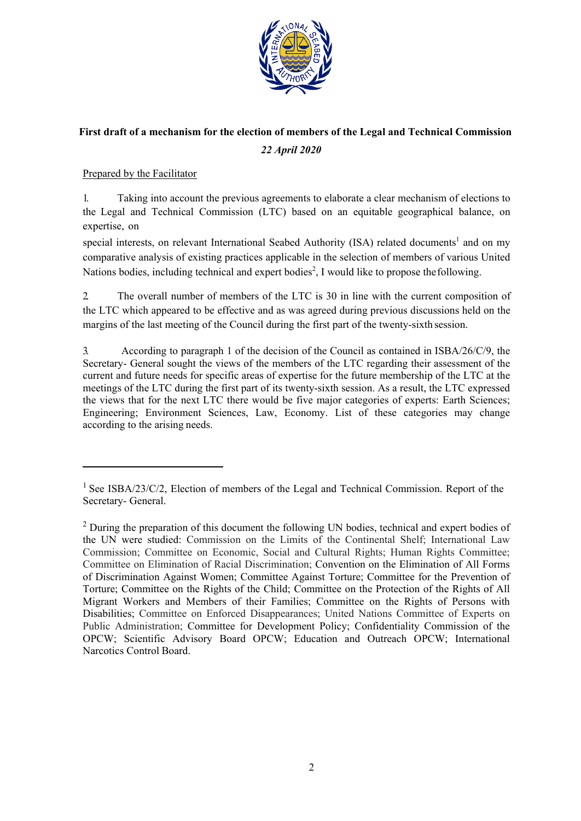

## **First draft of a mechanism for the election of members of the Legal and Technical Commission** *22 April 2020*

## Prepared by the Facilitator

1. Taking into account the previous agreements to elaborate a clear mechanism of elections to the Legal and Technical Commission (LTC) based on an equitable geographical balance, on expertise, on

special interests, on relevant International Seabed Authority (ISA) related documents<sup>1</sup> and on my comparative analysis of existing practices applicable in the selection of members of various United Nations bodies, including technical and expert bodies<sup>2</sup>, I would like to propose the following.

2. The overall number of members of the LTC is 30 in line with the current composition of the LTC which appeared to be effective and as was agreed during previous discussions held on the margins of the last meeting of the Council during the first part of the twenty-sixth session.

3. According to paragraph 1 of the decision of the Council as contained in ISBA/26/C/9, the Secretary- General sought the views of the members of the LTC regarding their assessment of the current and future needs for specific areas of expertise for the future membership of the LTC at the meetings of the LTC during the first part of its twenty-sixth session. As a result, the LTC expressed the views that for the next LTC there would be five major categories of experts: Earth Sciences; Engineering; Environment Sciences, Law, Economy. List of these categories may change according to the arising needs.

<sup>&</sup>lt;sup>1</sup> See ISBA/23/C/2, Election of members of the Legal and Technical Commission. Report of the Secretary- General.

 $2$  During the preparation of this document the following UN bodies, technical and expert bodies of the UN were studied: Commission on the Limits of the Continental Shelf; International Law Commission; Committee on Economic, Social and Cultural Rights; Human Rights Committee; Committee on Elimination of Racial Discrimination; Convention on the Elimination of All Forms of Discrimination Against Women; Committee Against Torture; Committee for the Prevention of Torture; Committee on the Rights of the Child; Committee on the Protection of the Rights of All Migrant Workers and Members of their Families; Committee on the Rights of Persons with Disabilities; Committee on Enforced Disappearances; United Nations Committee of Experts on Public Administration; Committee for Development Policy; Confidentiality Commission of the OPCW; Scientific Advisory Board OPCW; Education and Outreach OPCW; International Narcotics Control Board.